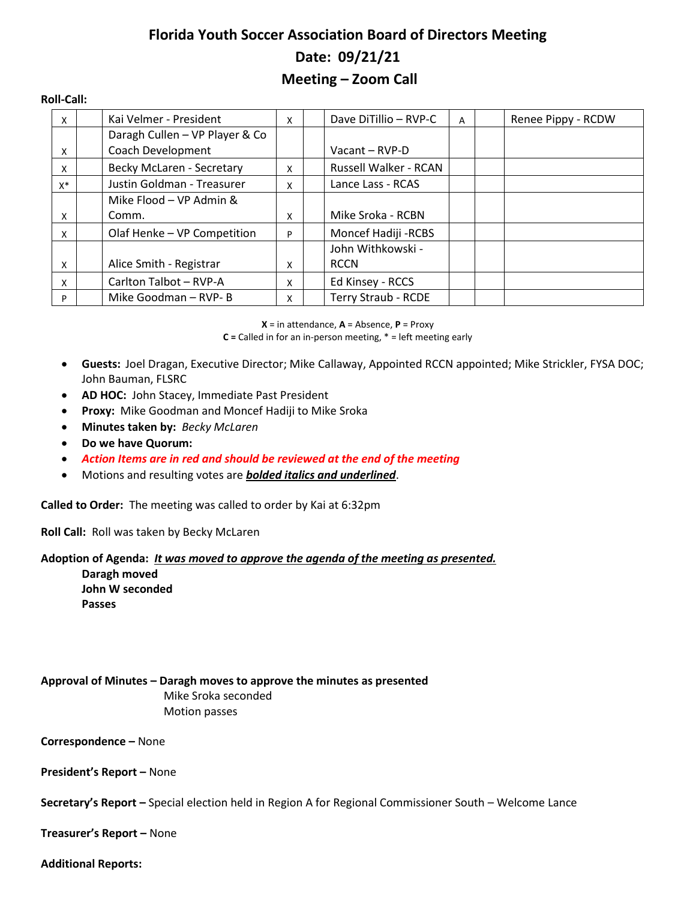# **Florida Youth Soccer Association Board of Directors Meeting Date: 09/21/21 Meeting – Zoom Call**

#### **Roll-Call:**

| X     | Kai Velmer - President         | X | Dave DiTillio - RVP-C      | A | Renee Pippy - RCDW |
|-------|--------------------------------|---|----------------------------|---|--------------------|
|       | Daragh Cullen - VP Player & Co |   |                            |   |                    |
| X     | Coach Development              |   | Vacant - RVP-D             |   |                    |
| X     | Becky McLaren - Secretary      | x | Russell Walker - RCAN      |   |                    |
| $X^*$ | Justin Goldman - Treasurer     | x | Lance Lass - RCAS          |   |                    |
|       | Mike Flood - VP Admin &        |   |                            |   |                    |
| x     | Comm.                          | x | Mike Sroka - RCBN          |   |                    |
| X     | Olaf Henke - VP Competition    | P | Moncef Hadiji - RCBS       |   |                    |
|       |                                |   | John Withkowski -          |   |                    |
| X     | Alice Smith - Registrar        | x | <b>RCCN</b>                |   |                    |
| X     | Carlton Talbot - RVP-A         | X | Ed Kinsey - RCCS           |   |                    |
| P     | Mike Goodman - RVP-B           | x | <b>Terry Straub - RCDE</b> |   |                    |

**X** = in attendance, **A** = Absence, **P** = Proxy

**C =** Called in for an in-person meeting, \* = left meeting early

- **Guests:** Joel Dragan, Executive Director; Mike Callaway, Appointed RCCN appointed; Mike Strickler, FYSA DOC; John Bauman, FLSRC
- **AD HOC:** John Stacey, Immediate Past President
- **Proxy:** Mike Goodman and Moncef Hadiji to Mike Sroka
- **Minutes taken by:** *Becky McLaren*
- **Do we have Quorum:**
- *Action Items are in red and should be reviewed at the end of the meeting*
- Motions and resulting votes are *bolded italics and underlined*.

**Called to Order:** The meeting was called to order by Kai at 6:32pm

**Roll Call:** Roll was taken by Becky McLaren

## **Adoption of Agenda:** *It was moved to approve the agenda of the meeting as presented.*

**Daragh moved John W seconded Passes**

**Approval of Minutes – Daragh moves to approve the minutes as presented** Mike Sroka seconded Motion passes

**Correspondence –** None

**President's Report –** None

**Secretary's Report –** Special election held in Region A for Regional Commissioner South – Welcome Lance

**Treasurer's Report –** None

## **Additional Reports:**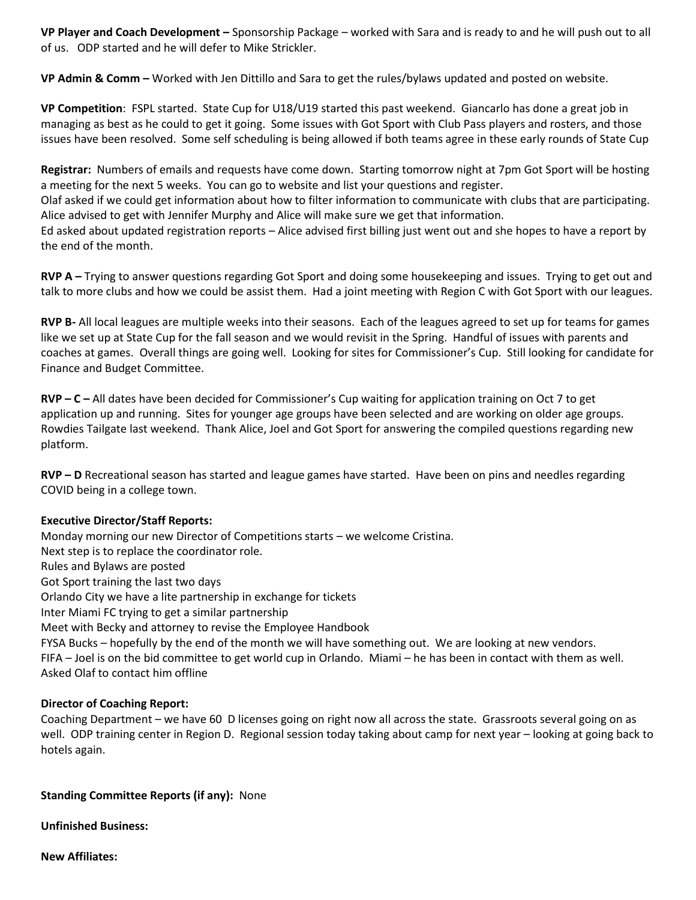**VP Player and Coach Development –** Sponsorship Package – worked with Sara and is ready to and he will push out to all of us. ODP started and he will defer to Mike Strickler.

**VP Admin & Comm –** Worked with Jen Dittillo and Sara to get the rules/bylaws updated and posted on website.

**VP Competition**: FSPL started. State Cup for U18/U19 started this past weekend. Giancarlo has done a great job in managing as best as he could to get it going. Some issues with Got Sport with Club Pass players and rosters, and those issues have been resolved. Some self scheduling is being allowed if both teams agree in these early rounds of State Cup

**Registrar:** Numbers of emails and requests have come down. Starting tomorrow night at 7pm Got Sport will be hosting a meeting for the next 5 weeks. You can go to website and list your questions and register.

Olaf asked if we could get information about how to filter information to communicate with clubs that are participating. Alice advised to get with Jennifer Murphy and Alice will make sure we get that information.

Ed asked about updated registration reports – Alice advised first billing just went out and she hopes to have a report by the end of the month.

**RVP A –** Trying to answer questions regarding Got Sport and doing some housekeeping and issues. Trying to get out and talk to more clubs and how we could be assist them. Had a joint meeting with Region C with Got Sport with our leagues.

**RVP B-** All local leagues are multiple weeks into their seasons. Each of the leagues agreed to set up for teams for games like we set up at State Cup for the fall season and we would revisit in the Spring. Handful of issues with parents and coaches at games. Overall things are going well. Looking for sites for Commissioner's Cup. Still looking for candidate for Finance and Budget Committee.

**RVP – C –** All dates have been decided for Commissioner's Cup waiting for application training on Oct 7 to get application up and running. Sites for younger age groups have been selected and are working on older age groups. Rowdies Tailgate last weekend. Thank Alice, Joel and Got Sport for answering the compiled questions regarding new platform.

**RVP – D** Recreational season has started and league games have started. Have been on pins and needles regarding COVID being in a college town.

## **Executive Director/Staff Reports:**

Monday morning our new Director of Competitions starts – we welcome Cristina. Next step is to replace the coordinator role. Rules and Bylaws are posted Got Sport training the last two days Orlando City we have a lite partnership in exchange for tickets Inter Miami FC trying to get a similar partnership Meet with Becky and attorney to revise the Employee Handbook FYSA Bucks – hopefully by the end of the month we will have something out. We are looking at new vendors. FIFA – Joel is on the bid committee to get world cup in Orlando. Miami – he has been in contact with them as well. Asked Olaf to contact him offline

#### **Director of Coaching Report:**

Coaching Department – we have 60 D licenses going on right now all across the state. Grassroots several going on as well. ODP training center in Region D. Regional session today taking about camp for next year – looking at going back to hotels again.

#### **Standing Committee Reports (if any):** None

**Unfinished Business:**

**New Affiliates:**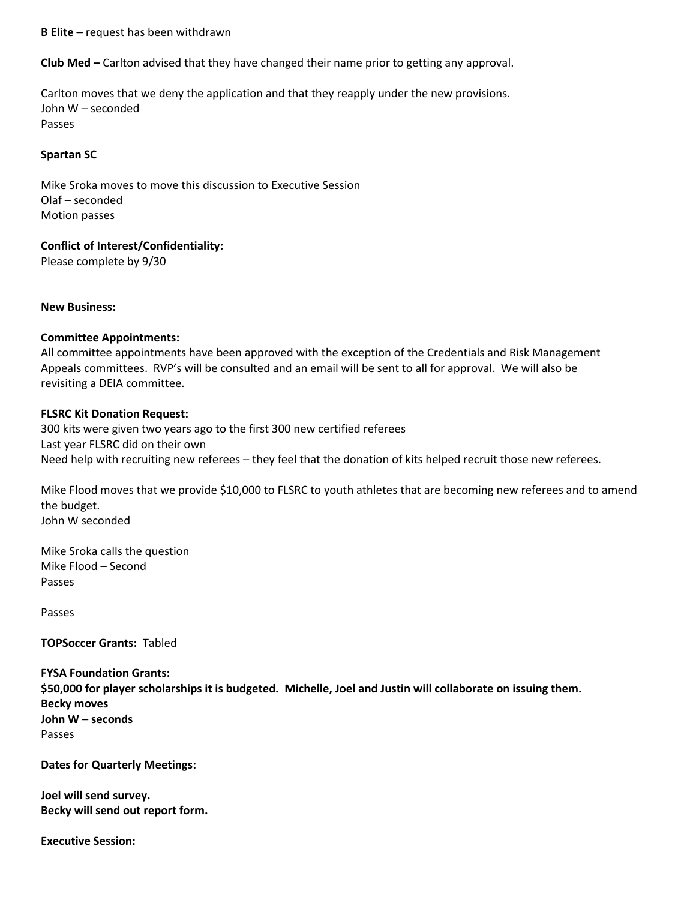**B Elite –** request has been withdrawn

**Club Med –** Carlton advised that they have changed their name prior to getting any approval.

Carlton moves that we deny the application and that they reapply under the new provisions. John W – seconded Passes

## **Spartan SC**

Mike Sroka moves to move this discussion to Executive Session Olaf – seconded Motion passes

## **Conflict of Interest/Confidentiality:**

Please complete by 9/30

**New Business:**

# **Committee Appointments:**

All committee appointments have been approved with the exception of the Credentials and Risk Management Appeals committees. RVP's will be consulted and an email will be sent to all for approval. We will also be revisiting a DEIA committee.

## **FLSRC Kit Donation Request:**

300 kits were given two years ago to the first 300 new certified referees Last year FLSRC did on their own Need help with recruiting new referees – they feel that the donation of kits helped recruit those new referees.

Mike Flood moves that we provide \$10,000 to FLSRC to youth athletes that are becoming new referees and to amend the budget. John W seconded

Mike Sroka calls the question Mike Flood – Second Passes

Passes

**TOPSoccer Grants:** Tabled

**FYSA Foundation Grants: \$50,000 for player scholarships it is budgeted. Michelle, Joel and Justin will collaborate on issuing them. Becky moves John W – seconds** Passes

**Dates for Quarterly Meetings:**

**Joel will send survey. Becky will send out report form.**

**Executive Session:**